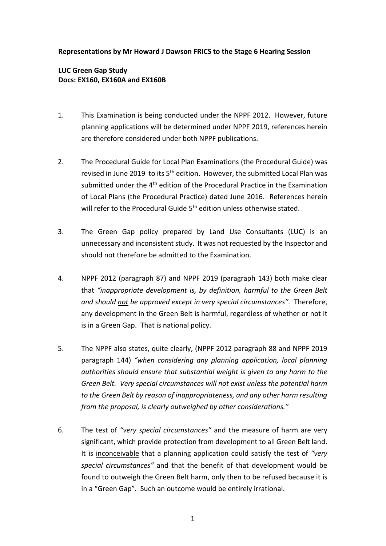## **Representations by Mr Howard J Dawson FRICS to the Stage 6 Hearing Session**

## **LUC Green Gap Study Docs: EX160, EX160A and EX160B**

- 1. This Examination is being conducted under the NPPF 2012. However, future planning applications will be determined under NPPF 2019, references herein are therefore considered under both NPPF publications.
- 2. The Procedural Guide for Local Plan Examinations (the Procedural Guide) was revised in June 2019 to its  $5<sup>th</sup>$  edition. However, the submitted Local Plan was submitted under the  $4<sup>th</sup>$  edition of the Procedural Practice in the Examination of Local Plans (the Procedural Practice) dated June 2016. References herein will refer to the Procedural Guide 5<sup>th</sup> edition unless otherwise stated.
- 3. The Green Gap policy prepared by Land Use Consultants (LUC) is an unnecessary and inconsistent study. It was not requested by the Inspector and should not therefore be admitted to the Examination.
- 4. NPPF 2012 (paragraph 87) and NPPF 2019 (paragraph 143) both make clear that *"inappropriate development is, by definition, harmful to the Green Belt and should not be approved except in very special circumstances".* Therefore, any development in the Green Belt is harmful, regardless of whether or not it is in a Green Gap. That is national policy.
- 5. The NPPF also states, quite clearly, (NPPF 2012 paragraph 88 and NPPF 2019 paragraph 144) *"when considering any planning application, local planning authorities should ensure that substantial weight is given to any harm to the Green Belt. Very special circumstances will not exist unless the potential harm to the Green Belt by reason of inappropriateness, and any other harm resulting from the proposal, is clearly outweighed by other considerations."*
- 6. The test of *"very special circumstances"* and the measure of harm are very significant, which provide protection from development to all Green Belt land. It is inconceivable that a planning application could satisfy the test of *"very special circumstances"* and that the benefit of that development would be found to outweigh the Green Belt harm, only then to be refused because it is in a "Green Gap". Such an outcome would be entirely irrational.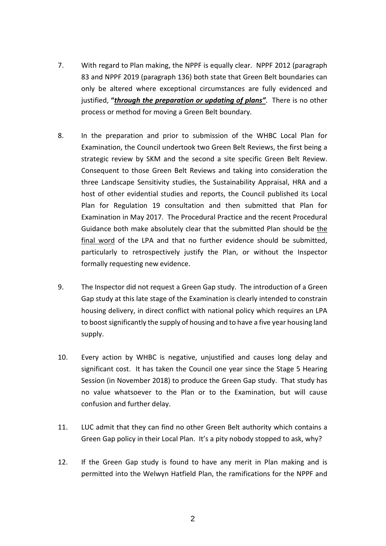- 7. With regard to Plan making, the NPPF is equally clear. NPPF 2012 (paragraph 83 and NPPF 2019 (paragraph 136) both state that Green Belt boundaries can only be altered where exceptional circumstances are fully evidenced and justified, **"***through the preparation or updating of plans"*. There is no other process or method for moving a Green Belt boundary.
- 8. In the preparation and prior to submission of the WHBC Local Plan for Examination, the Council undertook two Green Belt Reviews, the first being a strategic review by SKM and the second a site specific Green Belt Review. Consequent to those Green Belt Reviews and taking into consideration the three Landscape Sensitivity studies, the Sustainability Appraisal, HRA and a host of other evidential studies and reports, the Council published its Local Plan for Regulation 19 consultation and then submitted that Plan for Examination in May 2017. The Procedural Practice and the recent Procedural Guidance both make absolutely clear that the submitted Plan should be the final word of the LPA and that no further evidence should be submitted, particularly to retrospectively justify the Plan, or without the Inspector formally requesting new evidence.
- 9. The Inspector did not request a Green Gap study. The introduction of a Green Gap study at this late stage of the Examination is clearly intended to constrain housing delivery, in direct conflict with national policy which requires an LPA to boost significantly the supply of housing and to have a five year housing land supply.
- 10. Every action by WHBC is negative, unjustified and causes long delay and significant cost. It has taken the Council one year since the Stage 5 Hearing Session (in November 2018) to produce the Green Gap study. That study has no value whatsoever to the Plan or to the Examination, but will cause confusion and further delay.
- 11. LUC admit that they can find no other Green Belt authority which contains a Green Gap policy in their Local Plan. It's a pity nobody stopped to ask, why?
- 12. If the Green Gap study is found to have any merit in Plan making and is permitted into the Welwyn Hatfield Plan, the ramifications for the NPPF and